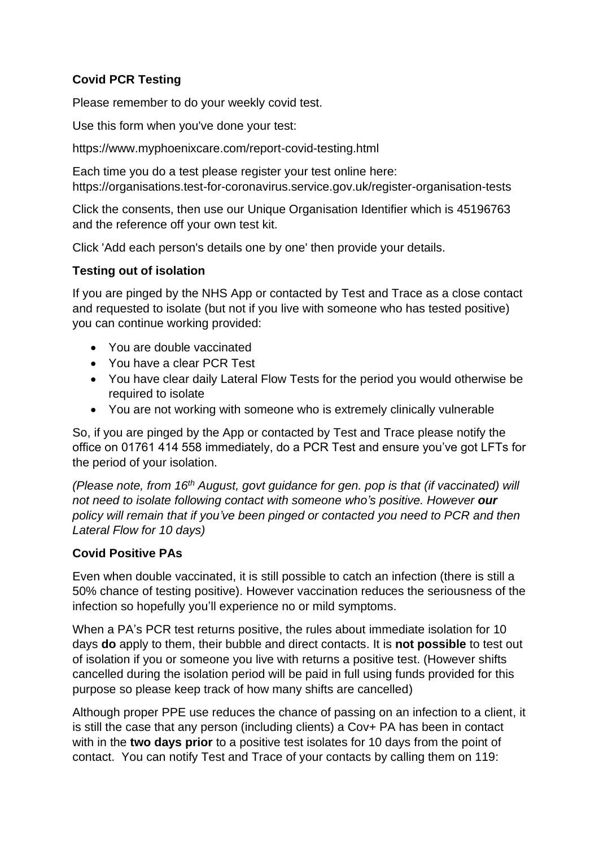## **Covid PCR Testing**

Please remember to do your weekly covid test.

Use this form when you've done your test:

https://www.myphoenixcare.com/report-covid-testing.html

Each time you do a test please register your test online here: https://organisations.test-for-coronavirus.service.gov.uk/register-organisation-tests

Click the consents, then use our Unique Organisation Identifier which is 45196763 and the reference off your own test kit.

Click 'Add each person's details one by one' then provide your details.

## **Testing out of isolation**

If you are pinged by the NHS App or contacted by Test and Trace as a close contact and requested to isolate (but not if you live with someone who has tested positive) you can continue working provided:

- You are double vaccinated
- You have a clear PCR Test
- You have clear daily Lateral Flow Tests for the period you would otherwise be required to isolate
- You are not working with someone who is extremely clinically vulnerable

So, if you are pinged by the App or contacted by Test and Trace please notify the office on 01761 414 558 immediately, do a PCR Test and ensure you've got LFTs for the period of your isolation.

*(Please note, from 16th August, govt guidance for gen. pop is that (if vaccinated) will not need to isolate following contact with someone who's positive. However our policy will remain that if you've been pinged or contacted you need to PCR and then Lateral Flow for 10 days)* 

## **Covid Positive PAs**

Even when double vaccinated, it is still possible to catch an infection (there is still a 50% chance of testing positive). However vaccination reduces the seriousness of the infection so hopefully you'll experience no or mild symptoms.

When a PA's PCR test returns positive, the rules about immediate isolation for 10 days **do** apply to them, their bubble and direct contacts. It is **not possible** to test out of isolation if you or someone you live with returns a positive test. (However shifts cancelled during the isolation period will be paid in full using funds provided for this purpose so please keep track of how many shifts are cancelled)

Although proper PPE use reduces the chance of passing on an infection to a client, it is still the case that any person (including clients) a Cov+ PA has been in contact with in the **two days prior** to a positive test isolates for 10 days from the point of contact. You can notify Test and Trace of your contacts by calling them on 119: